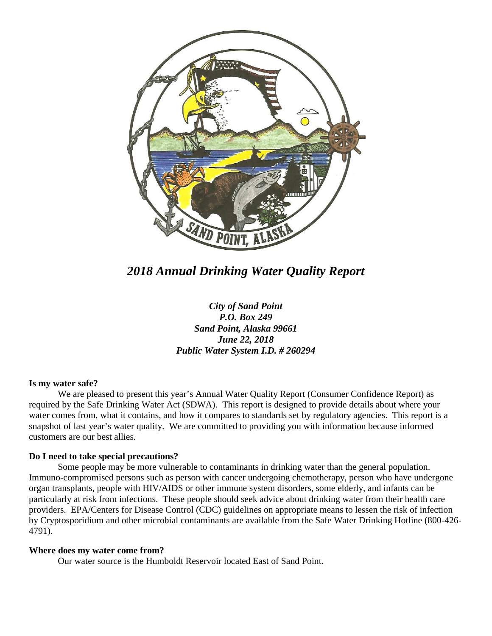

*2018 Annual Drinking Water Quality Report*

*City of Sand Point P.O. Box 249 Sand Point, Alaska 99661 June 22, 2018 Public Water System I.D. # 260294*

### **Is my water safe?**

We are pleased to present this year's Annual Water Quality Report (Consumer Confidence Report) as required by the Safe Drinking Water Act (SDWA). This report is designed to provide details about where your water comes from, what it contains, and how it compares to standards set by regulatory agencies. This report is a snapshot of last year's water quality. We are committed to providing you with information because informed customers are our best allies.

#### **Do I need to take special precautions?**

Some people may be more vulnerable to contaminants in drinking water than the general population. Immuno-compromised persons such as person with cancer undergoing chemotherapy, person who have undergone organ transplants, people with HIV/AIDS or other immune system disorders, some elderly, and infants can be particularly at risk from infections. These people should seek advice about drinking water from their health care providers. EPA/Centers for Disease Control (CDC) guidelines on appropriate means to lessen the risk of infection by Cryptosporidium and other microbial contaminants are available from the Safe Water Drinking Hotline (800-426- 4791).

#### **Where does my water come from?**

Our water source is the Humboldt Reservoir located East of Sand Point.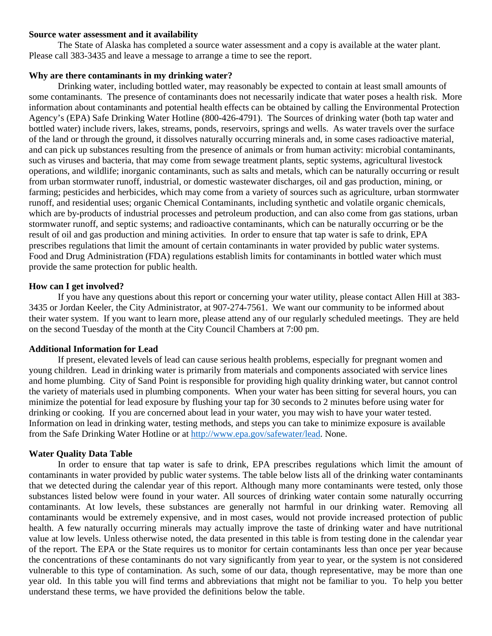#### **Source water assessment and it availability**

The State of Alaska has completed a source water assessment and a copy is available at the water plant. Please call 383-3435 and leave a message to arrange a time to see the report.

### **Why are there contaminants in my drinking water?**

Drinking water, including bottled water, may reasonably be expected to contain at least small amounts of some contaminants. The presence of contaminants does not necessarily indicate that water poses a health risk. More information about contaminants and potential health effects can be obtained by calling the Environmental Protection Agency's (EPA) Safe Drinking Water Hotline (800-426-4791). The Sources of drinking water (both tap water and bottled water) include rivers, lakes, streams, ponds, reservoirs, springs and wells. As water travels over the surface of the land or through the ground, it dissolves naturally occurring minerals and, in some cases radioactive material, and can pick up substances resulting from the presence of animals or from human activity: microbial contaminants, such as viruses and bacteria, that may come from sewage treatment plants, septic systems, agricultural livestock operations, and wildlife; inorganic contaminants, such as salts and metals, which can be naturally occurring or result from urban stormwater runoff, industrial, or domestic wastewater discharges, oil and gas production, mining, or farming; pesticides and herbicides, which may come from a variety of sources such as agriculture, urban stormwater runoff, and residential uses; organic Chemical Contaminants, including synthetic and volatile organic chemicals, which are by-products of industrial processes and petroleum production, and can also come from gas stations, urban stormwater runoff, and septic systems; and radioactive contaminants, which can be naturally occurring or be the result of oil and gas production and mining activities. In order to ensure that tap water is safe to drink, EPA prescribes regulations that limit the amount of certain contaminants in water provided by public water systems. Food and Drug Administration (FDA) regulations establish limits for contaminants in bottled water which must provide the same protection for public health.

### **How can I get involved?**

If you have any questions about this report or concerning your water utility, please contact Allen Hill at 383- 3435 or Jordan Keeler, the City Administrator, at 907-274-7561. We want our community to be informed about their water system. If you want to learn more, please attend any of our regularly scheduled meetings. They are held on the second Tuesday of the month at the City Council Chambers at 7:00 pm.

# **Additional Information for Lead**

If present, elevated levels of lead can cause serious health problems, especially for pregnant women and young children. Lead in drinking water is primarily from materials and components associated with service lines and home plumbing. City of Sand Point is responsible for providing high quality drinking water, but cannot control the variety of materials used in plumbing components. When your water has been sitting for several hours, you can minimize the potential for lead exposure by flushing your tap for 30 seconds to 2 minutes before using water for drinking or cooking. If you are concerned about lead in your water, you may wish to have your water tested. Information on lead in drinking water, testing methods, and steps you can take to minimize exposure is available from the Safe Drinking Water Hotline or at [http://www.epa.gov/safewater/lead.](http://www.epa.gov/safewater/lead) None.

# **Water Quality Data Table**

In order to ensure that tap water is safe to drink, EPA prescribes regulations which limit the amount of contaminants in water provided by public water systems. The table below lists all of the drinking water contaminants that we detected during the calendar year of this report. Although many more contaminants were tested, only those substances listed below were found in your water. All sources of drinking water contain some naturally occurring contaminants. At low levels, these substances are generally not harmful in our drinking water. Removing all contaminants would be extremely expensive, and in most cases, would not provide increased protection of public health. A few naturally occurring minerals may actually improve the taste of drinking water and have nutritional value at low levels. Unless otherwise noted, the data presented in this table is from testing done in the calendar year of the report. The EPA or the State requires us to monitor for certain contaminants less than once per year because the concentrations of these contaminants do not vary significantly from year to year, or the system is not considered vulnerable to this type of contamination. As such, some of our data, though representative, may be more than one year old. In this table you will find terms and abbreviations that might not be familiar to you. To help you better understand these terms, we have provided the definitions below the table.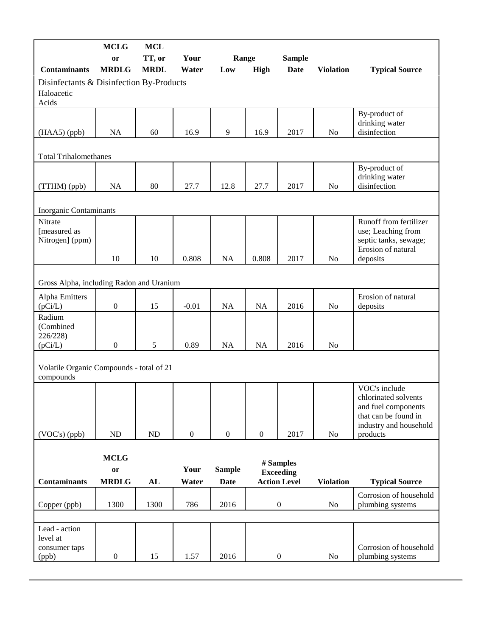|                                                                 | <b>MCLG</b>                       | <b>MCL</b>  |                  |                              |                  |                                                      |                  |                                                                                                                            |
|-----------------------------------------------------------------|-----------------------------------|-------------|------------------|------------------------------|------------------|------------------------------------------------------|------------------|----------------------------------------------------------------------------------------------------------------------------|
|                                                                 | or                                | TT, or      | Your<br>Water    | Range                        |                  | <b>Sample</b>                                        |                  |                                                                                                                            |
| <b>Contaminants</b>                                             | <b>MRDLG</b>                      | <b>MRDL</b> |                  | Low                          | <b>High</b>      | <b>Date</b>                                          | <b>Violation</b> | <b>Typical Source</b>                                                                                                      |
| Disinfectants & Disinfection By-Products<br>Haloacetic<br>Acids |                                   |             |                  |                              |                  |                                                      |                  |                                                                                                                            |
| $(HAA5)$ (ppb)                                                  | NA                                | 60          | 16.9             | 9                            | 16.9             | 2017                                                 | No               | By-product of<br>drinking water<br>disinfection                                                                            |
|                                                                 |                                   |             |                  |                              |                  |                                                      |                  |                                                                                                                            |
| <b>Total Trihalomethanes</b>                                    |                                   |             |                  |                              |                  |                                                      |                  |                                                                                                                            |
| (TTHM) (ppb)                                                    | NA                                | 80          | 27.7             | 12.8                         | 27.7             | 2017                                                 | No               | By-product of<br>drinking water<br>disinfection                                                                            |
|                                                                 |                                   |             |                  |                              |                  |                                                      |                  |                                                                                                                            |
| Inorganic Contaminants                                          |                                   |             |                  |                              |                  |                                                      |                  |                                                                                                                            |
| Nitrate<br>[measured as<br>Nitrogen] (ppm)                      |                                   |             |                  |                              |                  |                                                      |                  | Runoff from fertilizer<br>use; Leaching from<br>septic tanks, sewage;<br>Erosion of natural                                |
|                                                                 | 10                                | 10          | 0.808            | <b>NA</b>                    | 0.808            | 2017                                                 | No               | deposits                                                                                                                   |
| Gross Alpha, including Radon and Uranium                        |                                   |             |                  |                              |                  |                                                      |                  |                                                                                                                            |
| Alpha Emitters<br>(pCi/L)                                       | $\boldsymbol{0}$                  | 15          | $-0.01$          | <b>NA</b>                    | NA               | 2016                                                 | No               | Erosion of natural<br>deposits                                                                                             |
| Radium<br>(Combined<br>226/228)                                 |                                   |             |                  |                              |                  |                                                      |                  |                                                                                                                            |
| (pCi/L)                                                         | $\boldsymbol{0}$                  | 5           | 0.89             | <b>NA</b>                    | <b>NA</b>        | 2016                                                 | N <sub>o</sub>   |                                                                                                                            |
| Volatile Organic Compounds - total of 21<br>compounds           |                                   |             |                  |                              |                  |                                                      |                  |                                                                                                                            |
| (VOC's) (ppb)                                                   | ND                                | ND          | $\boldsymbol{0}$ | $\boldsymbol{0}$             | $\boldsymbol{0}$ | 2017                                                 | No               | VOC's include<br>chlorinated solvents<br>and fuel components<br>that can be found in<br>industry and household<br>products |
|                                                                 |                                   |             |                  |                              |                  |                                                      |                  |                                                                                                                            |
| <b>Contaminants</b>                                             | <b>MCLG</b><br>or<br><b>MRDLG</b> | AL          | Your<br>Water    | <b>Sample</b><br><b>Date</b> |                  | # Samples<br><b>Exceeding</b><br><b>Action Level</b> | <b>Violation</b> | <b>Typical Source</b>                                                                                                      |
| Copper (ppb)                                                    | 1300                              | 1300        | 786              | 2016                         |                  | $\boldsymbol{0}$                                     | No               | Corrosion of household<br>plumbing systems                                                                                 |
|                                                                 |                                   |             |                  |                              |                  |                                                      |                  |                                                                                                                            |
| Lead - action<br>level at<br>consumer taps                      |                                   |             |                  |                              |                  |                                                      |                  | Corrosion of household                                                                                                     |
| (ppb)                                                           | $\boldsymbol{0}$                  | 15          | 1.57             | 2016                         |                  | $\boldsymbol{0}$                                     | No               | plumbing systems                                                                                                           |